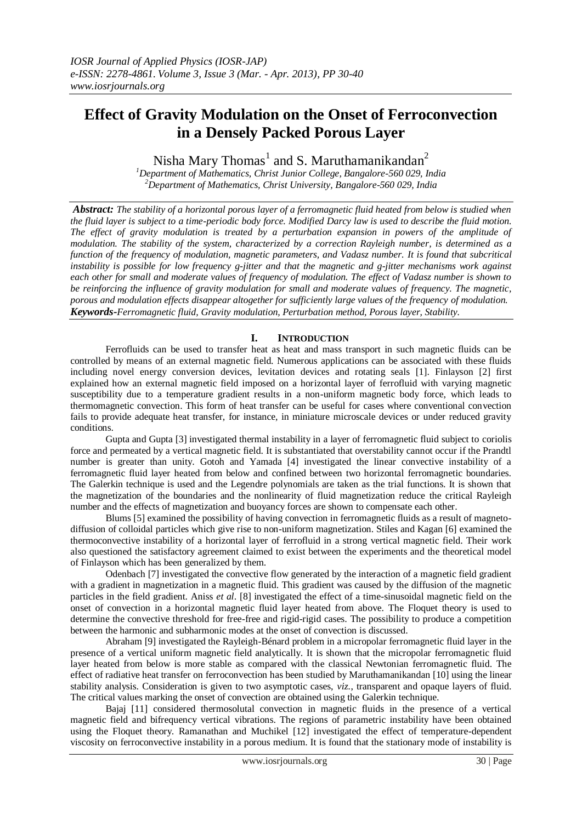# **Effect of Gravity Modulation on the Onset of Ferroconvection in a Densely Packed Porous Layer**

Nisha Mary Thomas<sup>1</sup> and S. Maruthamanikandan<sup>2</sup>

*<sup>1</sup>Department of Mathematics, Christ Junior College, Bangalore-560 029, India <sup>2</sup>Department of Mathematics, Christ University, Bangalore-560 029, India*

*Abstract: The stability of a horizontal porous layer of a ferromagnetic fluid heated from below is studied when the fluid layer is subject to a time-periodic body force. Modified Darcy law is used to describe the fluid motion. The effect of gravity modulation is treated by a perturbation expansion in powers of the amplitude of modulation. The stability of the system, characterized by a correction Rayleigh number, is determined as a function of the frequency of modulation, magnetic parameters, and Vadasz number. It is found that subcritical instability is possible for low frequency g-jitter and that the magnetic and g-jitter mechanisms work against each other for small and moderate values of frequency of modulation. The effect of Vadasz number is shown to be reinforcing the influence of gravity modulation for small and moderate values of frequency. The magnetic, porous and modulation effects disappear altogether for sufficiently large values of the frequency of modulation. Keywords-Ferromagnetic fluid, Gravity modulation, Perturbation method, Porous layer, Stability.*

# **I. INTRODUCTION**

Ferrofluids can be used to transfer heat as heat and mass transport in such magnetic fluids can be controlled by means of an external magnetic field. Numerous applications can be associated with these fluids including novel energy conversion devices, levitation devices and rotating seals [1]. Finlayson [2] first explained how an external magnetic field imposed on a horizontal layer of ferrofluid with varying magnetic susceptibility due to a temperature gradient results in a non-uniform magnetic body force, which leads to thermomagnetic convection. This form of heat transfer can be useful for cases where conventional convection fails to provide adequate heat transfer, for instance, in miniature microscale devices or under reduced gravity conditions.

 Gupta and Gupta [3] investigated thermal instability in a layer of ferromagnetic fluid subject to coriolis force and permeated by a vertical magnetic field. It is substantiated that overstability cannot occur if the Prandtl number is greater than unity. Gotoh and Yamada [4] investigated the linear convective instability of a ferromagnetic fluid layer heated from below and confined between two horizontal ferromagnetic boundaries. The Galerkin technique is used and the Legendre polynomials are taken as the trial functions. It is shown that the magnetization of the boundaries and the nonlinearity of fluid magnetization reduce the critical Rayleigh number and the effects of magnetization and buoyancy forces are shown to compensate each other.

 Blums [5] examined the possibility of having convection in ferromagnetic fluids as a result of magnetodiffusion of colloidal particles which give rise to non-uniform magnetization. Stiles and Kagan [6] examined the thermoconvective instability of a horizontal layer of ferrofluid in a strong vertical magnetic field. Their work also questioned the satisfactory agreement claimed to exist between the experiments and the theoretical model of Finlayson which has been generalized by them.

 Odenbach [7] investigated the convective flow generated by the interaction of a magnetic field gradient with a gradient in magnetization in a magnetic fluid. This gradient was caused by the diffusion of the magnetic particles in the field gradient. Aniss *et al*. [8] investigated the effect of a time-sinusoidal magnetic field on the onset of convection in a horizontal magnetic fluid layer heated from above. The Floquet theory is used to determine the convective threshold for free-free and rigid-rigid cases. The possibility to produce a competition between the harmonic and subharmonic modes at the onset of convection is discussed.

 Abraham [9] investigated the Rayleigh-Bénard problem in a micropolar ferromagnetic fluid layer in the presence of a vertical uniform magnetic field analytically. It is shown that the micropolar ferromagnetic fluid layer heated from below is more stable as compared with the classical Newtonian ferromagnetic fluid. The effect of radiative heat transfer on ferroconvection has been studied by Maruthamanikandan [10] using the linear stability analysis. Consideration is given to two asymptotic cases, *viz.*, transparent and opaque layers of fluid. The critical values marking the onset of convection are obtained using the Galerkin technique.

 Bajaj [11] considered thermosolutal convection in magnetic fluids in the presence of a vertical magnetic field and bifrequency vertical vibrations. The regions of parametric instability have been obtained using the Floquet theory. Ramanathan and Muchikel [12] investigated the effect of temperature-dependent viscosity on ferroconvective instability in a porous medium. It is found that the stationary mode of instability is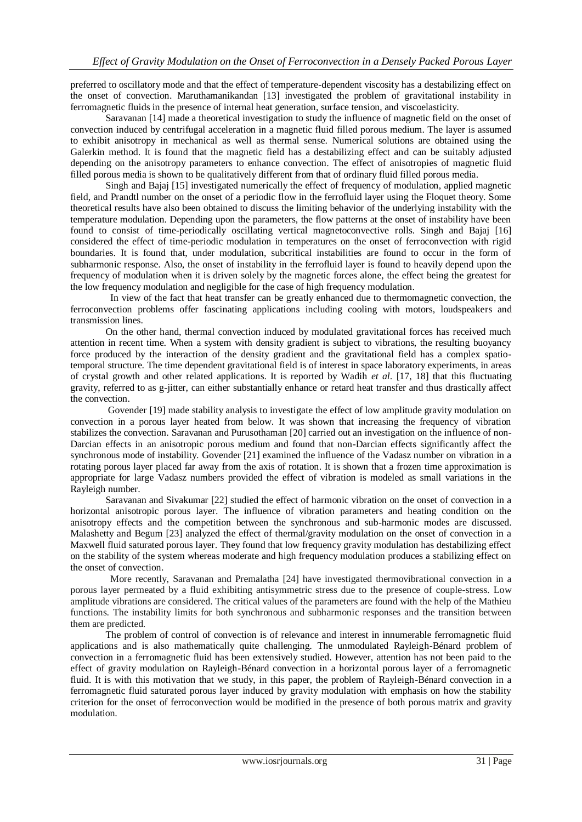preferred to oscillatory mode and that the effect of temperature-dependent viscosity has a destabilizing effect on the onset of convection. Maruthamanikandan [13] investigated the problem of gravitational instability in ferromagnetic fluids in the presence of internal heat generation, surface tension, and viscoelasticity.

 Saravanan [14] made a theoretical investigation to study the influence of magnetic field on the onset of convection induced by centrifugal acceleration in a magnetic fluid filled porous medium. The layer is assumed to exhibit anisotropy in mechanical as well as thermal sense. Numerical solutions are obtained using the Galerkin method. It is found that the magnetic field has a destabilizing effect and can be suitably adjusted depending on the anisotropy parameters to enhance convection. The effect of anisotropies of magnetic fluid filled porous media is shown to be qualitatively different from that of ordinary fluid filled porous media.

 Singh and Bajaj [15] investigated numerically the effect of frequency of modulation, applied magnetic field, and Prandtl number on the onset of a periodic flow in the ferrofluid layer using the Floquet theory. Some theoretical results have also been obtained to discuss the limiting behavior of the underlying instability with the temperature modulation. Depending upon the parameters, the flow patterns at the onset of instability have been found to consist of time-periodically oscillating vertical magnetoconvective rolls. Singh and Bajaj [16] considered the effect of time-periodic modulation in temperatures on the onset of ferroconvection with rigid boundaries. It is found that, under modulation, subcritical instabilities are found to occur in the form of subharmonic response. Also, the onset of instability in the ferrofluid layer is found to heavily depend upon the frequency of modulation when it is driven solely by the magnetic forces alone, the effect being the greatest for the low frequency modulation and negligible for the case of high frequency modulation.

 In view of the fact that heat transfer can be greatly enhanced due to thermomagnetic convection, the ferroconvection problems offer fascinating applications including cooling with motors, loudspeakers and transmission lines.

 On the other hand, thermal convection induced by modulated gravitational forces has received much attention in recent time. When a system with density gradient is subject to vibrations, the resulting buoyancy force produced by the interaction of the density gradient and the gravitational field has a complex spatiotemporal structure. The time dependent gravitational field is of interest in space laboratory experiments, in areas of crystal growth and other related applications. It is reported by Wadih *et al*. [17, 18] that this fluctuating gravity, referred to as g-jitter, can either substantially enhance or retard heat transfer and thus drastically affect the convection.

 Govender [19] made stability analysis to investigate the effect of low amplitude gravity modulation on convection in a porous layer heated from below. It was shown that increasing the frequency of vibration stabilizes the convection. Saravanan and Purusothaman [20] carried out an investigation on the influence of non-Darcian effects in an anisotropic porous medium and found that non-Darcian effects significantly affect the synchronous mode of instability. Govender [21] examined the influence of the Vadasz number on vibration in a rotating porous layer placed far away from the axis of rotation. It is shown that a frozen time approximation is appropriate for large Vadasz numbers provided the effect of vibration is modeled as small variations in the Rayleigh number.

 Saravanan and Sivakumar [22] studied the effect of harmonic vibration on the onset of convection in a horizontal anisotropic porous layer. The influence of vibration parameters and heating condition on the anisotropy effects and the competition between the synchronous and sub-harmonic modes are discussed. Malashetty and Begum [23] analyzed the effect of thermal/gravity modulation on the onset of convection in a Maxwell fluid saturated porous layer. They found that low frequency gravity modulation has destabilizing effect on the stability of the system whereas moderate and high frequency modulation produces a stabilizing effect on the onset of convection.

 More recently, Saravanan and Premalatha [24] have investigated thermovibrational convection in a porous layer permeated by a fluid exhibiting antisymmetric stress due to the presence of couple-stress. Low amplitude vibrations are considered. The critical values of the parameters are found with the help of the Mathieu functions. The instability limits for both synchronous and subharmonic responses and the transition between them are predicted.

 The problem of control of convection is of relevance and interest in innumerable ferromagnetic fluid applications and is also mathematically quite challenging. The unmodulated Rayleigh-Bénard problem of convection in a ferromagnetic fluid has been extensively studied. However, attention has not been paid to the effect of gravity modulation on Rayleigh-Bénard convection in a horizontal porous layer of a ferromagnetic fluid. It is with this motivation that we study, in this paper, the problem of Rayleigh-Bénard convection in a ferromagnetic fluid saturated porous layer induced by gravity modulation with emphasis on how the stability criterion for the onset of ferroconvection would be modified in the presence of both porous matrix and gravity modulation.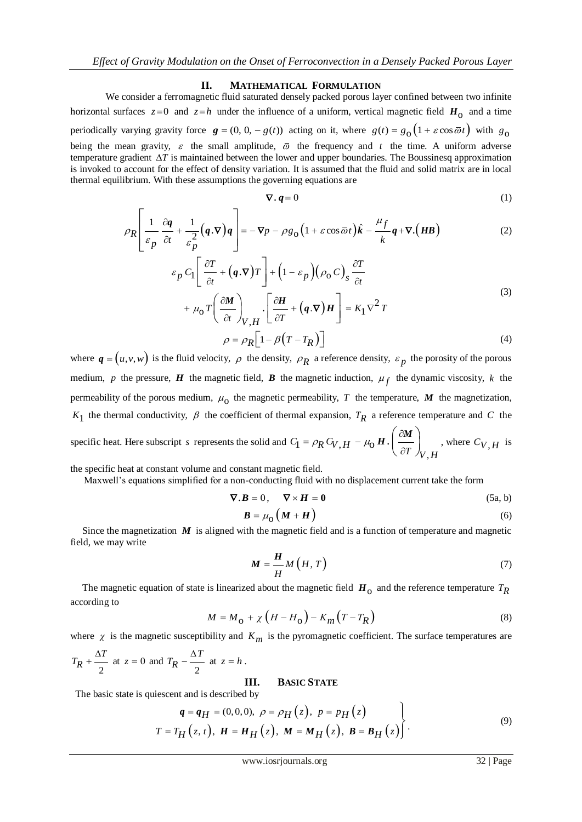#### **II. MATHEMATICAL FORMULATION**

We consider a ferromagnetic fluid saturated densely packed porous layer confined between two infinite horizontal surfaces  $z=0$  and  $z=h$  under the influence of a uniform, vertical magnetic field  $H_0$  and a time periodically varying gravity force  $g = (0, 0, -g(t))$  acting on it, where  $g(t) = g_0(1 + \varepsilon \cos \bar{\omega} t)$  with  $g_0$ being the mean gravity,  $\varepsilon$  the small amplitude,  $\overline{\omega}$  the frequency and t the time. A uniform adverse temperature gradient  $\Delta T$  is maintained between the lower and upper boundaries. The Boussinesq approximation is invoked to account for the effect of density variation. It is assumed that the fluid and solid matrix are in local thermal equilibrium. With these assumptions the governing equations are<br>  $\nabla \cdot \boldsymbol{q} = 0$ 

$$
\nabla \cdot \boldsymbol{q} = 0 \tag{1}
$$

$$
\nabla \cdot \boldsymbol{q} = 0 \tag{1}
$$
\n
$$
\rho_R \left[ \frac{1}{\varepsilon_p} \frac{\partial \boldsymbol{q}}{\partial t} + \frac{1}{\varepsilon_p^2} (\boldsymbol{q} \cdot \nabla) \boldsymbol{q} \right] = -\nabla p - \rho g_0 \left( 1 + \varepsilon \cos \bar{\omega} t \right) \hat{\boldsymbol{k}} - \frac{\mu_f}{k} \boldsymbol{q} + \nabla \cdot (\boldsymbol{H} \boldsymbol{B}) \tag{2}
$$

$$
\varepsilon_{p} \partial t \quad \varepsilon_{p}^{2} \qquad \qquad k \qquad \qquad k \qquad \qquad k \qquad \qquad k \qquad \qquad k \qquad \qquad k \qquad \qquad k \qquad \qquad k \qquad \qquad k \qquad \qquad k \qquad \qquad k \qquad \qquad k \qquad \qquad k \qquad \qquad k \qquad \qquad k \qquad \qquad k \qquad \qquad k \qquad \qquad k \qquad \qquad k \qquad \qquad k \qquad \qquad k \qquad \qquad k \qquad \qquad k \qquad \qquad k \qquad \qquad k \qquad \qquad k \qquad \qquad k \qquad \qquad k \qquad \qquad k \qquad \qquad k \qquad \qquad k \qquad \qquad k \qquad \qquad k \qquad \qquad k \qquad \qquad k \qquad \qquad k \qquad \qquad k \qquad \qquad k \qquad \qquad k \qquad \qquad k \qquad \qquad k \qquad \qquad k \qquad \qquad k \qquad \qquad k \qquad \qquad k \qquad \qquad k \qquad \qquad k \qquad \qquad k \qquad \qquad k \qquad \qquad k \qquad \qquad k \qquad \qquad k \qquad \qquad k \qquad \qquad k \qquad \qquad k \qquad \qquad k \qquad \qquad k \qquad \qquad k \qquad \qquad k \qquad \qquad k \qquad \qquad k \qquad \qquad k \qquad \qquad k \qquad \qquad k \qquad \qquad k \qquad \qquad k \qquad \qquad k \qquad \qquad k \qquad \qquad k \qquad \qquad k \qquad \qquad k \qquad \qquad k \qquad \qquad k \qquad \qquad k \qquad \qquad k \qquad \qquad k \qquad \qquad k \qquad \qquad k \qquad \qquad k \qquad \qquad k \qquad \qquad k \qquad \qquad k \qquad \qquad k \qquad \qquad k \qquad \qquad k \qquad \qquad k \qquad \qquad k \qquad \qquad k \qquad \qquad k \qquad \qquad k \qquad \qquad k \qquad \qquad k \qquad \qquad k \qquad \qquad k \qquad \qquad k \qquad \qquad k \qquad \qquad k \qquad \qquad k \qquad \qquad k \qquad \qquad k \qquad \qquad k \qquad \qquad k \qquad \qquad k \qquad \qquad k \qquad \qquad k \qquad
$$

$$
\rho = \rho_R \Big[ 1 - \beta \Big( T - T_R \Big) \Big] \tag{4}
$$

where  $q = (u, v, w)$  is the fluid velocity,  $\rho$  the density,  $\rho_R$  a reference density,  $\varepsilon_p$  the porosity of the porous medium, p the pressure, **H** the magnetic field, **B** the magnetic induction,  $\mu_f$  the dynamic viscosity, k the permeability of the porous medium,  $\mu_0$  the magnetic permeability, T the temperature, M the magnetization,  $K_1$  the thermal conductivity,  $\beta$  the coefficient of thermal expansion,  $T_R$  a reference temperature and C the specific heat. Here subscript *s* represents the solid and  $C_1 = \rho_R C_V$ , ,  $C_1 = \rho_R C_{V,H} - \mu_0 H \cdot \left(\frac{\partial M}{\partial T}\right)_{V,H}$  $\rho_R C_{V,H} - \mu_0 H \cdot \left( \frac{\partial M}{\partial H} \right)$  $H \cdot \left| \frac{dE}{d\mathcal{F}} \right|$ , where  $C_{V,H}$  is

the specific heat at constant volume and constant magnetic field.

Maxwell's equations simplified for a non-conducting fluid with no displacement current take the form

$$
\nabla \cdot \mathbf{B} = 0, \quad \nabla \times \mathbf{H} = \mathbf{0} \tag{5a, b}
$$

$$
B = \mu_0 \left( M + H \right) \tag{6}
$$

Since the magnetization  $\vec{M}$  is aligned with the magnetic field and is a function of temperature and magnetic field, we may write

$$
M = \frac{H}{H} M\left(H, T\right) \tag{7}
$$

The magnetic equation of state is linearized about the magnetic field  $H_0$  and the reference temperature  $T_R$ according to

$$
M = M_{\rm O} + \chi \left( H - H_{\rm O} \right) - K_m \left( T - T_R \right) \tag{8}
$$

where  $\chi$  is the magnetic susceptibility and  $K_m$  is the pyromagnetic coefficient. The surface temperatures are

$$
T_R + \frac{\Delta T}{2}
$$
 at  $z = 0$  and  $T_R - \frac{\Delta T}{2}$  at  $z = h$ .

#### **III. BASIC STATE**

The basic state is quiescent and is described by  
\n
$$
q = q_H = (0,0,0), \ \rho = \rho_H(z), \ p = p_H(z)
$$
\n
$$
T = T_H(z, t), \ H = H_H(z), \ M = M_H(z), \ B = B_H(z)
$$
\n(9)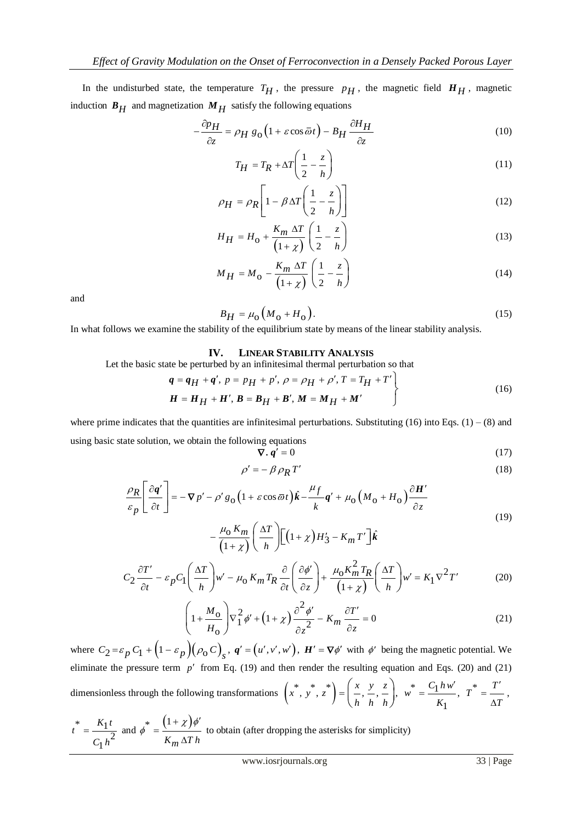In the undisturbed state, the temperature  $T_H$ , the pressure  $p_H$ , the magnetic field  $H_H$ , magnetic induction  $B_H$  and magnetization  $M_H$  satisfy the following equations<br> $-\frac{\partial p_H}{\partial H} = \rho_H g_0 \left(1 + \varepsilon \cos \bar{\omega} t\right) - B_H \frac{\partial H_H}{\partial H}$ 

$$
-\frac{\partial p_H}{\partial z} = \rho_H g_0 \left( 1 + \varepsilon \cos \bar{\omega} t \right) - B_H \frac{\partial H_H}{\partial z}
$$
(10)

$$
T_H = T_R + \Delta T \left(\frac{1}{2} - \frac{z}{h}\right) \tag{11}
$$

$$
\rho_H = \rho_R \left[ 1 - \beta \Delta T \left( \frac{1}{2} - \frac{z}{h} \right) \right]
$$
(12)

$$
H_H = H_0 + \frac{K_m \Delta T}{\left(1 + \chi\right)} \left(\frac{1}{2} - \frac{z}{h}\right)
$$
(13)

$$
M_H = M_o - \frac{K_m \Delta T}{\left(1 + \chi\right)} \left(\frac{1}{2} - \frac{z}{h}\right)
$$
(14)

and

$$
B_H = \mu_0 \left( M_0 + H_0 \right). \tag{15}
$$

In what follows we examine the stability of the equilibrium state by means of the linear stability analysis.

#### **IV. LINEAR STABILITY ANALYSIS**

Let the basic state be perturbed by an infinitesimal thermal perturbation so that  
\n
$$
q = q_H + q', p = p_H + p', \rho = \rho_H + \rho', T = T_H + T'
$$
\n
$$
H = H_H + H', B = B_H + B', M = M_H + M'
$$
\n(16)

where prime indicates that the quantities are infinitesimal perturbations. Substituting  $(16)$  into Eqs.  $(1) - (8)$  and using basic state solution, we obtain the following equations

$$
\nabla \cdot \boldsymbol{q}' = 0 \tag{17}
$$

$$
\rho' = -\beta \rho_R T' \tag{18}
$$

$$
\nabla \cdot \mathbf{q}' = 0 \tag{17}
$$
\n
$$
\rho' = -\beta \rho_R T' \tag{18}
$$
\n
$$
\frac{\rho_R}{\varepsilon_p} \left[ \frac{\partial \mathbf{q}'}{\partial t} \right] = -\nabla p' - \rho' g_0 \left( 1 + \varepsilon \cos \bar{\omega} t \right) \hat{\mathbf{k}} - \frac{\mu_f}{k} \mathbf{q}' + \mu_0 \left( M_0 + H_0 \right) \frac{\partial \mathbf{H}'}{\partial z} \tag{19}
$$
\n
$$
- \frac{\mu_0 K_m}{\left( 1 + \chi \right)} \left( \frac{\Delta T}{h} \right) \left[ \left( 1 + \chi \right) H_3' - K_m T' \right] \hat{\mathbf{k}} \tag{19}
$$

$$
-\frac{\mu_0 K_m}{(1+\chi)} \left(\frac{\Delta T}{h}\right) \left[ \left(1+\chi\right) H_3' - K_m T' \right] \hat{k}
$$
  

$$
C_2 \frac{\partial T'}{\partial t} - \varepsilon_p C_1 \left(\frac{\Delta T}{h}\right) w' - \mu_0 K_m T_R \frac{\partial}{\partial t} \left(\frac{\partial \phi'}{\partial z}\right) + \frac{\mu_0 K_m^2 T_R}{(1+\chi)} \left(\frac{\Delta T}{h}\right) w' = K_1 \nabla^2 T'
$$
 (20)

$$
\begin{pmatrix}\nh & \cdots & \cdots & \cdots & \cdots & \cdots & \cdots & \cdots & \cdots & \cdots & \cdots & \cdots & \cdots & \cdots & \cdots & \cdots & \cdots & \cdots & \cdots & \cdots & \cdots & \cdots & \cdots & \cdots & \cdots & \cdots & \cdots & \cdots & \cdots & \cdots & \cdots & \cdots & \cdots & \cdots & \cdots & \cdots & \cdots & \cdots & \cdots & \cdots & \cdots & \cdots & \cdots & \cdots & \cdots & \cdots & \cdots & \cdots & \cdots & \cdots & \cdots & \cdots & \cdots & \cdots & \cdots & \cdots & \cdots & \cdots & \cdots & \cdots & \cdots & \cdots & \cdots & \cdots & \cdots & \cdots & \cdots & \cdots & \cdots & \cdots & \cdots & \cdots & \cdots & \cdots & \cdots & \cdots & \cdots & \cdots & \cdots & \cdots & \cdots & \cdots & \cdots & \cdots & \cdots & \cdots & \cdots & \cdots & \cdots & \cdots & \cdots & \cdots & \cdots & \cdots & \cdots & \cdots & \cdots & \cdots & \cdots & \cdots & \cdots & \cdots & \cdots & \cdots & \cdots & \cdots & \cdots & \cdots & \cdots & \cdots & \cdots & \cdots & \cdots & \cdots & \cdots & \cdots & \cdots & \cdots & \cdots & \cdots & \cdots & \cdots & \cdots & \cdots & \cdots & \cdots &
$$

where  $C_2 = \varepsilon_p C_1 + (1 - \varepsilon_p)(\rho_0 C)_s$ ,  $q' = (u', v', w')$ ,  $H' = \nabla \phi'$  with  $\phi'$  being the magnetic potential. We eliminate the pressure term  $p'$  from Eq. (19) and then render the resulting equation and Eqs. (20) and (21) dimensionless through the following transformations  $\left(x^*, y^*, z^*\right) = \left(\frac{x}{1}, \frac{y}{1}, \frac{z}{1}\right)$ ,  $x^{*}$ ,  $y^{*}$ ,  $z^{*}$  =  $\left(\frac{x}{h}, \frac{y}{h}, \frac{z}{h}\right)$ , w *hhh* \*  $C_1 h w'$ , 1  $w^* = \frac{C_1 h w}{2}$ *K*  $\cdot$  $=\frac{C_1 h w'}{r^*}, T^* = \frac{T'}{r},$ *T*  $\overline{\phantom{a}}$  $=$ Δ

$$
t^* = \frac{K_1 t}{C_1 h^2}
$$
 and  $\phi^* = \frac{(1 + \chi)\phi'}{K_m \Delta T h}$  to obtain (after dropping the asterisks for simplicity)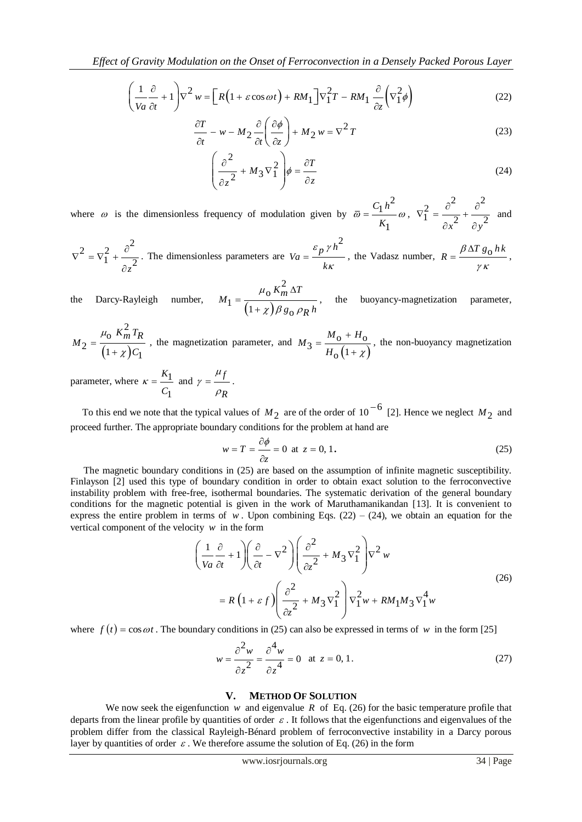$$
\text{Effect of Gravity Modulation on the Onset of Ferroconvection in a Densely Packed Proous Layer} \\
\left(\frac{1}{Va}\frac{\partial}{\partial t} + 1\right)\nabla^2 w = \left[R\left(1 + \varepsilon\cos\omega t\right) + RM_1\right]\nabla_1^2 T - RM_1 \frac{\partial}{\partial z}\left(\nabla_1^2 \phi\right) \tag{22}
$$

$$
\frac{\partial T}{\partial t} - w - M_2 \frac{\partial}{\partial t} \left( \frac{\partial \phi}{\partial z} \right) + M_2 w = \nabla^2 T
$$
\n(23)

$$
\left(\frac{\partial^2}{\partial z^2} + M_3 \nabla_1^2\right) \phi = \frac{\partial T}{\partial z}
$$
 (24)

where  $\omega$  is the dimensionless frequency of modulation given by 2 1 1  $C_1 h$ *K*  $\overline{\omega} = \frac{1}{\overline{\omega}} \omega$ , 2  $\delta^2$   $\delta^2$  $1 = \frac{1}{\partial x^2} + \frac{1}{\partial y^2}$  $\nabla_1^2 = \frac{\partial^2}{\partial x^2} + \frac{\partial^2}{\partial y^2}$  $\partial x^2$   $\partial y$ and

$$
\nabla^2 = \nabla_1^2 + \frac{\partial^2}{\partial z^2}
$$
. The dimensionless parameters are  $Va = \frac{\varepsilon_p \gamma h^2}{k\kappa}$ , the Vadasz number,  $R = \frac{\beta \Delta T g_0 h k}{\gamma \kappa}$ ,

the Darcy-Rayleigh number,  $(1+\chi)$ 2 o  $1 = \frac{1}{(1+\chi)\beta g_0}$  $M_1 = \frac{\mu_0 K_m^2 \Delta T}{(1 + \chi) \beta g_0 \rho_R h}$ Δ =  $^{+}$  $\mu$  $\frac{\delta}{\chi}$ , the buoyancy-magnetization parameter,<br> $\chi$ )  $\beta$  g<sub>0</sub>  $\rho$ <sub>R</sub> h

 $(1+\chi)$ 2 o  $2 = \frac{1}{(1 + \chi)C_1}$  $M_2 = \frac{\mu_0}{\sqrt{K_m^2 T_R}}$ *C*  $\mu$ χ  $=$  $^{+}$ , the magnetization parameter, and  $(1+\chi)$  $3 = \frac{M_0 + H_0}{H_0 (1 + \chi)}$  $^{+}$  $=$  $^{+}$  $M_3 = \frac{M_0 + H}{4}$  $H_0(1+\chi)$ , the non-buoyancy magnetization

parameter, where  $\kappa = \frac{K_1}{\sigma}$ 1 *K C*  $\kappa = \frac{K_1}{\sigma}$  and  $\gamma = \frac{\mu_f}{\sigma}$ *R*  $\mu$ γ  $\rho$  $=\frac{\partial f}{\partial x}$ .

To this end we note that the typical values of  $M_2$  are of the order of 10<sup>-6</sup> [2]. Hence we neglect  $M_2$  and proceed further. The appropriate boundary conditions for the problem at hand are

$$
w = T = \frac{\partial \phi}{\partial z} = 0 \text{ at } z = 0, 1.
$$
 (25)

 The magnetic boundary conditions in (25) are based on the assumption of infinite magnetic susceptibility. Finlayson [2] used this type of boundary condition in order to obtain exact solution to the ferroconvective instability problem with free-free, isothermal boundaries. The systematic derivation of the general boundary conditions for the magnetic potential is given in the work of Maruthamanikandan [13]. It is convenient to vertical component of the velocity *w* in the form<br>  $\left(\frac{1}{\sqrt{2}}\frac{\partial}{\partial x} + 1\right)\left(\frac{\partial}{\partial y} - \nabla^2\right)\left(\frac{\partial^2}{\partial y^2} + M\right)$ 

express the entire problem in terms of w. Upon combining Eqs. (22) – (24), we obtain an equation for the vertical component of the velocity w in the form\n
$$
\left(\frac{1}{Va}\frac{\partial}{\partial t} + 1\right)\left(\frac{\partial}{\partial t} - \nabla^2\right)\left(\frac{\partial^2}{\partial z^2} + M_3\nabla_1^2\right)\nabla^2 w
$$
\n(26)\n
$$
= R\left(1 + \varepsilon f\right)\left(\frac{\partial^2}{\partial z^2} + M_3\nabla_1^2\right)\nabla_1^2 w + RM_1M_3\nabla_1^4 w
$$

where  $f(t) = \cos \omega t$ . The boundary conditions in (25) can also be expressed in terms of w in the form [25]

$$
w = \frac{\partial^2 w}{\partial z^2} = \frac{\partial^4 w}{\partial z^4} = 0 \quad \text{at } z = 0, 1.
$$
 (27)

### **V. METHOD OF SOLUTION**

We now seek the eigenfunction  $w$  and eigenvalue  $R$  of Eq. (26) for the basic temperature profile that departs from the linear profile by quantities of order  $\varepsilon$ . It follows that the eigenfunctions and eigenvalues of the problem differ from the classical Rayleigh-Bénard problem of ferroconvective instability in a Darcy porous layer by quantities of order  $\varepsilon$ . We therefore assume the solution of Eq. (26) in the form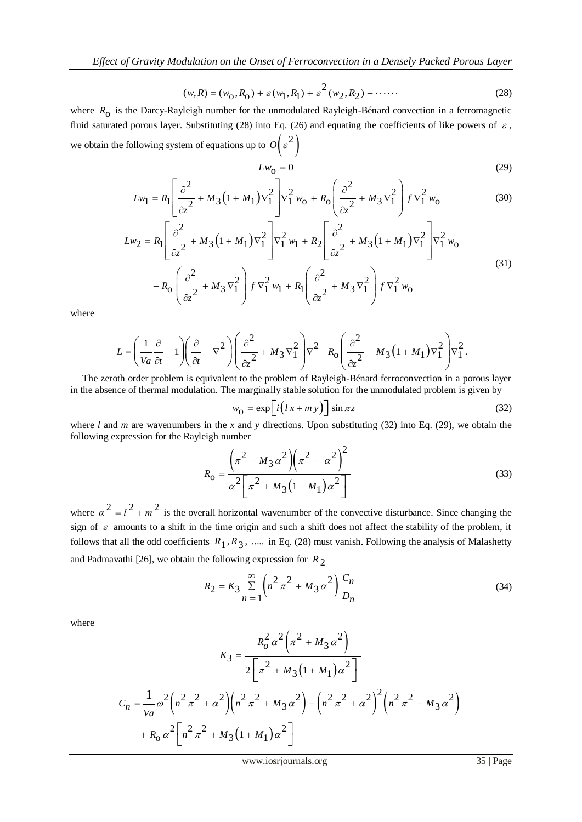$$
(w, R) = (w_0, R_0) + \varepsilon (w_1, R_1) + \varepsilon^2 (w_2, R_2) + \cdots
$$
 (28)

where  $R_0$  is the Darcy-Rayleigh number for the unmodulated Rayleigh-Bénard convection in a ferromagnetic fluid saturated porous layer. Substituting (28) into Eq. (26) and equating the coefficients of like powers of  $\varepsilon$ , we obtain the following system of equations up to  $O(\varepsilon^2)$ 

$$
Lw_0 = 0\tag{29}
$$

110wing system of equations up to 
$$
U(\varepsilon)
$$

\n
$$
Lw_0 = 0
$$
\n
$$
Lw_1 = R_1 \left[ \frac{\partial^2}{\partial z^2} + M_3 \left( 1 + M_1 \right) \nabla_1^2 \right] \nabla_1^2 w_0 + R_0 \left( \frac{\partial^2}{\partial z^2} + M_3 \nabla_1^2 \right) f \nabla_1^2 w_0
$$
\n
$$
w_2 = R_1 \left[ \frac{\partial^2}{\partial z^2} + M_3 \left( 1 + M_1 \right) \nabla_1^2 \right] \nabla_1^2 w_1 + R_2 \left[ \frac{\partial^2}{\partial z^2} + M_3 \left( 1 + M_1 \right) \nabla_1^2 \right] \nabla_1^2 w_0
$$
\n(30)

$$
Lw_1 = R_1 \left[ \frac{1}{\partial z^2} + M_3 (1 + M_1) \nabla_1^2 \right] \nabla_1^2 w_0 + R_0 \left[ \frac{1}{\partial z^2} + M_3 \nabla_1^2 \right] f \nabla_1^2 w_0 \tag{30}
$$
\n
$$
Lw_2 = R_1 \left[ \frac{\partial^2}{\partial z^2} + M_3 (1 + M_1) \nabla_1^2 \right] \nabla_1^2 w_1 + R_2 \left[ \frac{\partial^2}{\partial z^2} + M_3 (1 + M_1) \nabla_1^2 \right] \nabla_1^2 w_0 \tag{31}
$$
\n
$$
+ R_0 \left( \frac{\partial^2}{\partial z^2} + M_3 \nabla_1^2 \right) f \nabla_1^2 w_1 + R_1 \left( \frac{\partial^2}{\partial z^2} + M_3 \nabla_1^2 \right) f \nabla_1^2 w_0 \tag{31}
$$

where

$$
L = \left(\frac{1}{Va}\frac{\partial}{\partial t} + 1\right)\left(\frac{\partial}{\partial t} - \nabla^2\right)\left(\frac{\partial^2}{\partial z^2} + M_3\nabla_1^2\right)\nabla^2 - R_0\left(\frac{\partial^2}{\partial z^2} + M_3(1 + M_1)\nabla_1^2\right)\nabla_1^2.
$$
\ntoth order problem is equivalent to the problem of Rayleigh-Bénard ferroconvection in a porous layer.

 in the absence of thermal modulation. The marginally stable solution for the unmodulated problem is given by The zeroth order problem is equivalent to the problem of Rayleigh-Bénard ferroconvection in a porous layer

$$
w_0 = \exp\left[i\left(lx + my\right)\right] \sin \pi z \tag{32}
$$

where *l* and *m* are wavenumbers in the *x* and *y* directions. Upon substituting (32) into Eq. (29), we obtain the following expression for the Rayleigh number

$$
R_0 = \frac{\left(\pi^2 + M_3 \alpha^2\right) \left(\pi^2 + \alpha^2\right)^2}{\alpha^2 \left[\pi^2 + M_3 \left(1 + M_1\right) \alpha^2\right]}
$$
(33)

where  $\alpha^2 = l^2 + m^2$  is the overall horizontal wavenumber of the convective disturbance. Since changing the sign of  $\varepsilon$  amounts to a shift in the time origin and such a shift does not affect the stability of the problem, it follows that all the odd coefficients  $R_1, R_3, \dots$  in Eq. (28) must vanish. Following the analysis of Malashetty and Padmavathi [26], we obtain the following expression for  $R_2$ 

$$
R_2 = K_3 \sum_{n=1}^{\infty} \left( n^2 \pi^2 + M_3 \alpha^2 \right) \frac{C_n}{D_n}
$$
 (34)

where

$$
K_3 = \frac{R_0^2 \alpha^2 (\pi^2 + M_3 \alpha^2)}{2 \left[ \pi^2 + M_3 (1 + M_1) \alpha^2 \right]}
$$
  

$$
C_n = \frac{1}{Va} \omega^2 (n^2 \pi^2 + \alpha^2) (n^2 \pi^2 + M_3 \alpha^2) - (n^2 \pi^2 + \alpha^2)^2 (n^2 \pi^2 + M_3 \alpha^2)
$$
  

$$
+ R_0 \alpha^2 \left[ n^2 \pi^2 + M_3 (1 + M_1) \alpha^2 \right]
$$

www.iosrjournals.org 35 | Page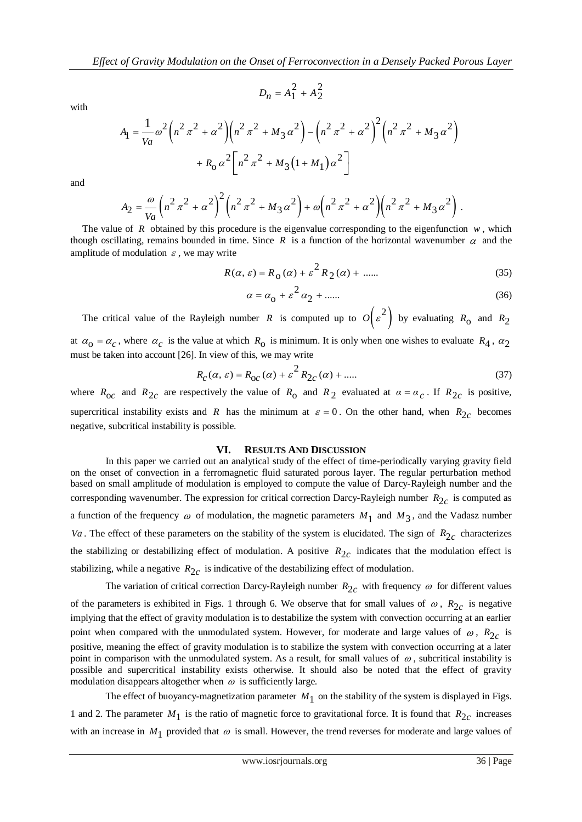with

$$
D_n = A_1 + A_2
$$
  

$$
A_1 = \frac{1}{Va} \omega^2 \left( n^2 \pi^2 + \alpha^2 \right) \left( n^2 \pi^2 + M_3 \alpha^2 \right) - \left( n^2 \pi^2 + \alpha^2 \right)^2 \left( n^2 \pi^2 + M_3 \alpha^2 \right)
$$

$$
+ R_0 \alpha^2 \left[ n^2 \pi^2 + M_3 \left( 1 + M_1 \right) \alpha^2 \right]
$$

 $D_n = A_1^2 + A_2^2$ 

and

$$
A_2 = \frac{\omega}{Va} \left( n^2 \pi^2 + \alpha^2 \right)^2 \left( n^2 \pi^2 + M_3 \alpha^2 \right) + \omega \left( n^2 \pi^2 + \alpha^2 \right) \left( n^2 \pi^2 + M_3 \alpha^2 \right).
$$

The value of R obtained by this procedure is the eigenvalue corresponding to the eigenfunction  $w$ , which though oscillating, remains bounded in time. Since  $R$  is a function of the horizontal wavenumber  $\alpha$  and the amplitude of modulation  $\varepsilon$ , we may write

$$
R(\alpha, \varepsilon) = R_0(\alpha) + \varepsilon^2 R_2(\alpha) + \dots
$$
 (35)

$$
\alpha = \alpha_0 + \varepsilon^2 \alpha_2 + \dots \tag{36}
$$

The critical value of the Rayleigh number R is computed up to  $O(\varepsilon^2)$  by evaluating  $R_0$  and  $R_2$ at  $\alpha_0 = \alpha_c$ , where  $\alpha_c$  is the value at which  $R_0$  is minimum. It is only when one wishes to evaluate  $R_4$ ,  $\alpha_2$ must be taken into account [26]. In view of this, we may write

$$
R_C(\alpha, \varepsilon) = R_{OC}(\alpha) + \varepsilon^2 R_{2C}(\alpha) + \dots
$$
 (37)

where  $R_{0c}$  and  $R_{2c}$  are respectively the value of  $R_0$  and  $R_2$  evaluated at  $\alpha = \alpha_c$ . If  $R_{2c}$  is positive, supercritical instability exists and R has the minimum at  $\varepsilon = 0$ . On the other hand, when  $R_{2c}$  becomes negative, subcritical instability is possible.

#### **VI. RESULTS AND DISCUSSION**

In this paper we carried out an analytical study of the effect of time-periodically varying gravity field on the onset of convection in a ferromagnetic fluid saturated porous layer. The regular perturbation method based on small amplitude of modulation is employed to compute the value of Darcy-Rayleigh number and the corresponding wavenumber. The expression for critical correction Darcy-Rayleigh number  $R_{2c}$  is computed as a function of the frequency  $\omega$  of modulation, the magnetic parameters  $M_1$  and  $M_3$ , and the Vadasz number Va. The effect of these parameters on the stability of the system is elucidated. The sign of  $R_{2c}$  characterizes the stabilizing or destabilizing effect of modulation. A positive  $R_{2c}$  indicates that the modulation effect is stabilizing, while a negative  $R_{2c}$  is indicative of the destabilizing effect of modulation.

The variation of critical correction Darcy-Rayleigh number  $R_{2c}$  with frequency  $\omega$  for different values of the parameters is exhibited in Figs. 1 through 6. We observe that for small values of  $\omega$ ,  $R_{2c}$  is negative implying that the effect of gravity modulation is to destabilize the system with convection occurring at an earlier point when compared with the unmodulated system. However, for moderate and large values of  $\omega$ ,  $R_{2c}$  is positive, meaning the effect of gravity modulation is to stabilize the system with convection occurring at a later point in comparison with the unmodulated system. As a result, for small values of  $\omega$ , subcritical instability is possible and supercritical instability exists otherwise. It should also be noted that the effect of gravity modulation disappears altogether when  $\omega$  is sufficiently large.

The effect of buoyancy-magnetization parameter  $M_1$  on the stability of the system is displayed in Figs. 1 and 2. The parameter  $M_1$  is the ratio of magnetic force to gravitational force. It is found that  $R_{2c}$  increases with an increase in  $M_1$  provided that  $\omega$  is small. However, the trend reverses for moderate and large values of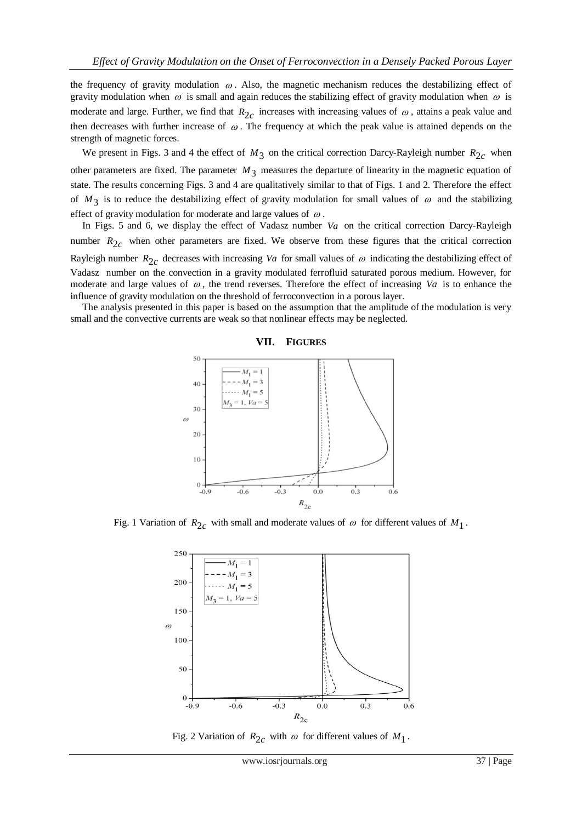the frequency of gravity modulation  $\omega$ . Also, the magnetic mechanism reduces the destabilizing effect of gravity modulation when  $\omega$  is small and again reduces the stabilizing effect of gravity modulation when  $\omega$  is moderate and large. Further, we find that  $R_{2c}$  increases with increasing values of  $\omega$ , attains a peak value and then decreases with further increase of  $\omega$ . The frequency at which the peak value is attained depends on the strength of magnetic forces.

We present in Figs. 3 and 4 the effect of  $M_3$  on the critical correction Darcy-Rayleigh number  $R_{2c}$  when other parameters are fixed. The parameter  $M_3$  measures the departure of linearity in the magnetic equation of state. The results concerning Figs. 3 and 4 are qualitatively similar to that of Figs. 1 and 2. Therefore the effect of  $M_3$  is to reduce the destabilizing effect of gravity modulation for small values of  $\omega$  and the stabilizing effect of gravity modulation for moderate and large values of  $\omega$ .

In Figs. 5 and 6, we display the effect of Vadasz number Va on the critical correction Darcy-Rayleigh number  $R_{2c}$  when other parameters are fixed. We observe from these figures that the critical correction Rayleigh number  $R_{2c}$  decreases with increasing *Va* for small values of  $\omega$  indicating the destabilizing effect of Vadasz number on the convection in a gravity modulated ferrofluid saturated porous medium. However, for moderate and large values of  $\omega$ , the trend reverses. Therefore the effect of increasing  $Va$  is to enhance the influence of gravity modulation on the threshold of ferroconvection in a porous layer.

 The analysis presented in this paper is based on the assumption that the amplitude of the modulation is very small and the convective currents are weak so that nonlinear effects may be neglected.



Fig. 1 Variation of  $R_{2c}$  with small and moderate values of  $\omega$  for different values of  $M_1$ .



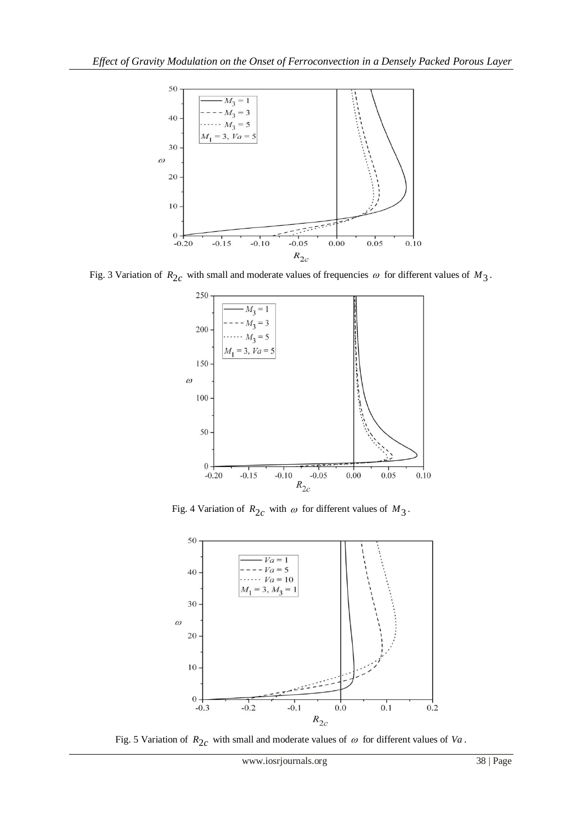

Fig. 3 Variation of  $R_{2c}$  with small and moderate values of frequencies  $\omega$  for different values of  $M_3$ .



Fig. 4 Variation of  $R_{2c}$  with  $\omega$  for different values of  $M_3$ .



Fig. 5 Variation of  $R_{2c}$  with small and moderate values of  $\omega$  for different values of Va.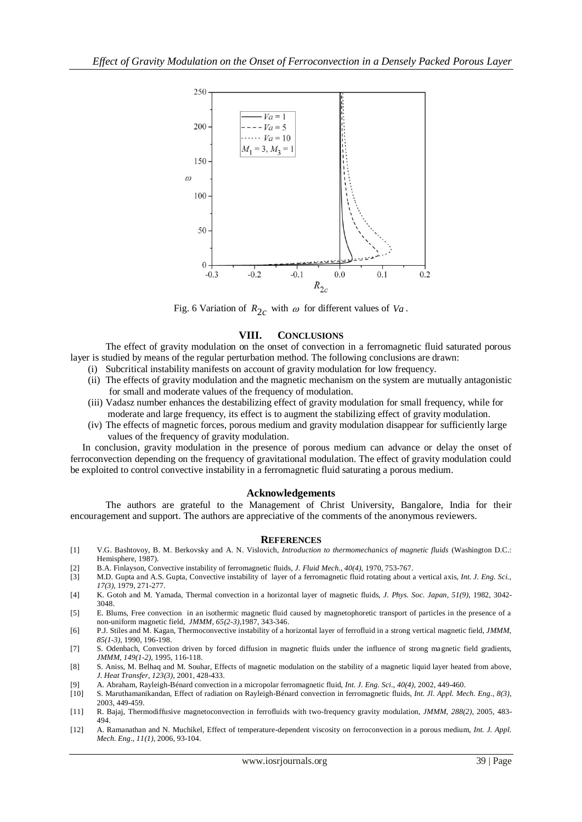

Fig. 6 Variation of  $R_{2c}$  with  $\omega$  for different values of  $Va$ .

# **VIII. CONCLUSIONS**

The effect of gravity modulation on the onset of convection in a ferromagnetic fluid saturated porous layer is studied by means of the regular perturbation method. The following conclusions are drawn:

- (i) Subcritical instability manifests on account of gravity modulation for low frequency.
- (ii) The effects of gravity modulation and the magnetic mechanism on the system are mutually antagonistic for small and moderate values of the frequency of modulation.
- (iii) Vadasz number enhances the destabilizing effect of gravity modulation for small frequency, while for moderate and large frequency, its effect is to augment the stabilizing effect of gravity modulation.
- (iv) The effects of magnetic forces, porous medium and gravity modulation disappear for sufficiently large values of the frequency of gravity modulation.

 In conclusion, gravity modulation in the presence of porous medium can advance or delay the onset of ferroconvection depending on the frequency of gravitational modulation. The effect of gravity modulation could be exploited to control convective instability in a ferromagnetic fluid saturating a porous medium.

# **Acknowledgements**

 The authors are grateful to the Management of Christ University, Bangalore, India for their encouragement and support. The authors are appreciative of the comments of the anonymous reviewers.

# **REFERENCES**

- [1] V.G. Bashtovoy, B. M. Berkovsky and A. N. Vislovich, *Introduction to thermomechanics of magnetic fluids* (Washington D.C.: Hemisphere, 1987).
- [2] B.A. Finlayson, Convective instability of ferromagnetic fluids, *J. Fluid Mech., 40(4),* 1970, 753-767.
- [3] M.D. Gupta and A.S. Gupta, Convective instability of layer of a ferromagnetic fluid rotating about a vertical axis, *Int. J. Eng. Sci., 17(3),* 1979, 271-277.
- [4] K. Gotoh and M. Yamada, Thermal convection in a horizontal layer of magnetic fluids, *J. Phys. Soc. Japan*, *51(9)*, 1982, 3042- 3048.
- [5] E. Blums, Free convection in an isothermic magnetic fluid caused by magnetophoretic transport of particles in the presence of a non-uniform magnetic field, *JMMM, 65(2-3),*1987, 343-346.
- [6] P.J. Stiles and M. Kagan, Thermoconvective instability of a horizontal layer of ferrofluid in a strong vertical magnetic field, *JMMM*, *85(1-3),* 1990, 196-198.
- [7] S. Odenbach, Convection driven by forced diffusion in magnetic fluids under the influence of strong magnetic field gradients, *JMMM*, *149(1-2),* 1995, 116-118.
- [8] S. Aniss, M. Belhaq and M. Souhar, Effects of magnetic modulation on the stability of a magnetic liquid layer heated from above, *J. Heat Transfer, 123(3)*, 2001, 428-433.
- [9] A. Abraham, Rayleigh-Bénard convection in a micropolar ferromagnetic fluid, *Int. J. Eng. Sci*., *40(4)*, 2002, 449-460.
- [10] S. Maruthamanikandan, Effect of radiation on Rayleigh-Bénard convection in ferromagnetic fluids, *Int. Jl. Appl. Mech. Eng.*, *8(3)*, 2003, 449-459.
- [11] R. Bajaj, Thermodiffusive magnetoconvection in ferrofluids with two-frequency gravity modulation, *JMMM*, *288(2)*, 2005, 483- 494.
- [12] A. Ramanathan and N. Muchikel, Effect of temperature-dependent viscosity on ferroconvection in a porous medium, *Int. J. Appl. Mech. Eng.*, *11(1)*, 2006, 93-104.